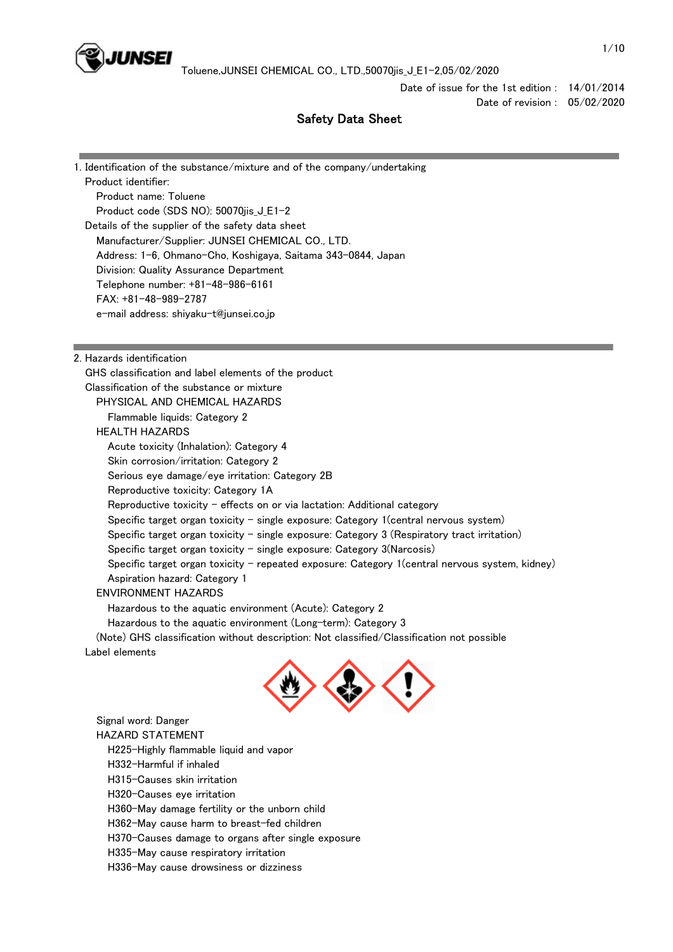

Date of issue for the 1st edition : 14/01/2014 Date of revision : 05/02/2020

# Safety Data Sheet

| 1. Identification of the substance/mixture and of the company/undertaking                      |  |  |  |
|------------------------------------------------------------------------------------------------|--|--|--|
| Product identifier:                                                                            |  |  |  |
| Product name: Toluene                                                                          |  |  |  |
| Product code (SDS NO): 50070jis_J_E1-2                                                         |  |  |  |
| Details of the supplier of the safety data sheet                                               |  |  |  |
| Manufacturer/Supplier: JUNSEI CHEMICAL CO., LTD.                                               |  |  |  |
| Address: 1-6, Ohmano-Cho, Koshigaya, Saitama 343-0844, Japan                                   |  |  |  |
| Division: Quality Assurance Department                                                         |  |  |  |
| Telephone number: +81-48-986-6161                                                              |  |  |  |
| FAX: +81-48-989-2787                                                                           |  |  |  |
| e-mail address: shiyaku-t@junsei.co.jp                                                         |  |  |  |
|                                                                                                |  |  |  |
|                                                                                                |  |  |  |
| 2. Hazards identification                                                                      |  |  |  |
| GHS classification and label elements of the product                                           |  |  |  |
| Classification of the substance or mixture                                                     |  |  |  |
| PHYSICAL AND CHEMICAL HAZARDS                                                                  |  |  |  |
| Flammable liquids: Category 2                                                                  |  |  |  |
| <b>HEALTH HAZARDS</b>                                                                          |  |  |  |
| Acute toxicity (Inhalation): Category 4                                                        |  |  |  |
| Skin corrosion/irritation: Category 2                                                          |  |  |  |
| Serious eye damage/eye irritation: Category 2B                                                 |  |  |  |
| Reproductive toxicity: Category 1A                                                             |  |  |  |
| Reproductive toxicity - effects on or via lactation: Additional category                       |  |  |  |
| Specific target organ toxicity – single exposure: Category 1 (central nervous system)          |  |  |  |
| Specific target organ toxicity - single exposure: Category $3$ (Respiratory tract irritation)  |  |  |  |
| Specific target organ toxicity $-$ single exposure: Category 3(Narcosis)                       |  |  |  |
| Specific target organ toxicity - repeated exposure: Category 1(central nervous system, kidney) |  |  |  |
| Aspiration hazard: Category 1                                                                  |  |  |  |
| <b>ENVIRONMENT HAZARDS</b>                                                                     |  |  |  |
| Hazardous to the aquatic environment (Acute): Category 2                                       |  |  |  |
| Hazardous to the aquatic environment (Long-term): Category 3                                   |  |  |  |
| (Note) GHS classification without description: Not classified/Classification not possible      |  |  |  |
| Label elements<br>and the company of the company of                                            |  |  |  |
| Signal word: Danger                                                                            |  |  |  |
| <b>HAZARD STATEMENT</b>                                                                        |  |  |  |
| H225-Highly flammable liquid and vapor                                                         |  |  |  |
| H332-Harmful if inhaled                                                                        |  |  |  |
| H315-Causes skin irritation                                                                    |  |  |  |
| H320-Causes eye irritation                                                                     |  |  |  |
| H360-May damage fertility or the unborn child                                                  |  |  |  |
| H362-May cause harm to breast-fed children                                                     |  |  |  |
| H370-Causes damage to organs after single exposure                                             |  |  |  |
| H335-May cause respiratory irritation                                                          |  |  |  |
| H336-May cause drowsiness or dizziness                                                         |  |  |  |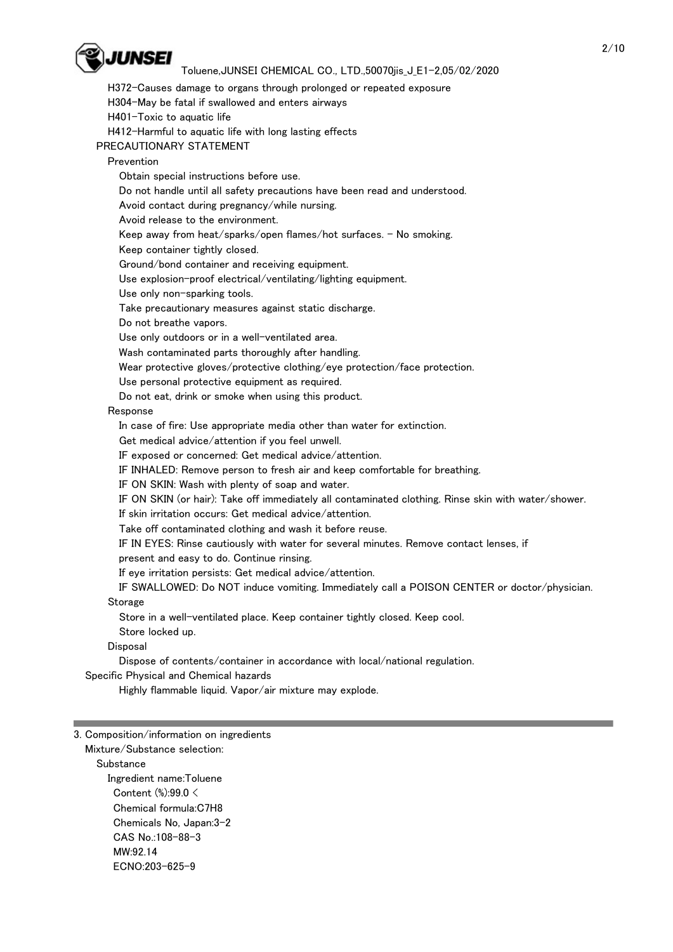

 H372-Causes damage to organs through prolonged or repeated exposure H304-May be fatal if swallowed and enters airways H401-Toxic to aquatic life H412-Harmful to aquatic life with long lasting effects PRECAUTIONARY STATEMENT Prevention Obtain special instructions before use. Do not handle until all safety precautions have been read and understood. Avoid contact during pregnancy/while nursing. Avoid release to the environment. Keep away from heat/sparks/open flames/hot surfaces. - No smoking. Keep container tightly closed. Ground/bond container and receiving equipment. Use explosion-proof electrical/ventilating/lighting equipment. Use only non-sparking tools. Take precautionary measures against static discharge. Do not breathe vapors. Use only outdoors or in a well-ventilated area. Wash contaminated parts thoroughly after handling. Wear protective gloves/protective clothing/eye protection/face protection. Use personal protective equipment as required. Do not eat, drink or smoke when using this product. Response In case of fire: Use appropriate media other than water for extinction. Get medical advice/attention if you feel unwell. IF exposed or concerned: Get medical advice/attention. IF INHALED: Remove person to fresh air and keep comfortable for breathing. IF ON SKIN: Wash with plenty of soap and water. IF ON SKIN (or hair): Take off immediately all contaminated clothing. Rinse skin with water/shower. If skin irritation occurs: Get medical advice/attention. Take off contaminated clothing and wash it before reuse. IF IN EYES: Rinse cautiously with water for several minutes. Remove contact lenses, if present and easy to do. Continue rinsing. If eye irritation persists: Get medical advice/attention. IF SWALLOWED: Do NOT induce vomiting. Immediately call a POISON CENTER or doctor/physician. **Storage**  Store in a well-ventilated place. Keep container tightly closed. Keep cool. Store locked up.

#### Disposal

Dispose of contents/container in accordance with local/national regulation.

Specific Physical and Chemical hazards

Highly flammable liquid. Vapor/air mixture may explode.

#### 3. Composition/information on ingredients

 Mixture/Substance selection: **Substance**  Ingredient name:Toluene Content (%):99.0 < Chemical formula:C7H8 Chemicals No, Japan:3-2 CAS No.:108-88-3 MW:92.14 ECNO:203-625-9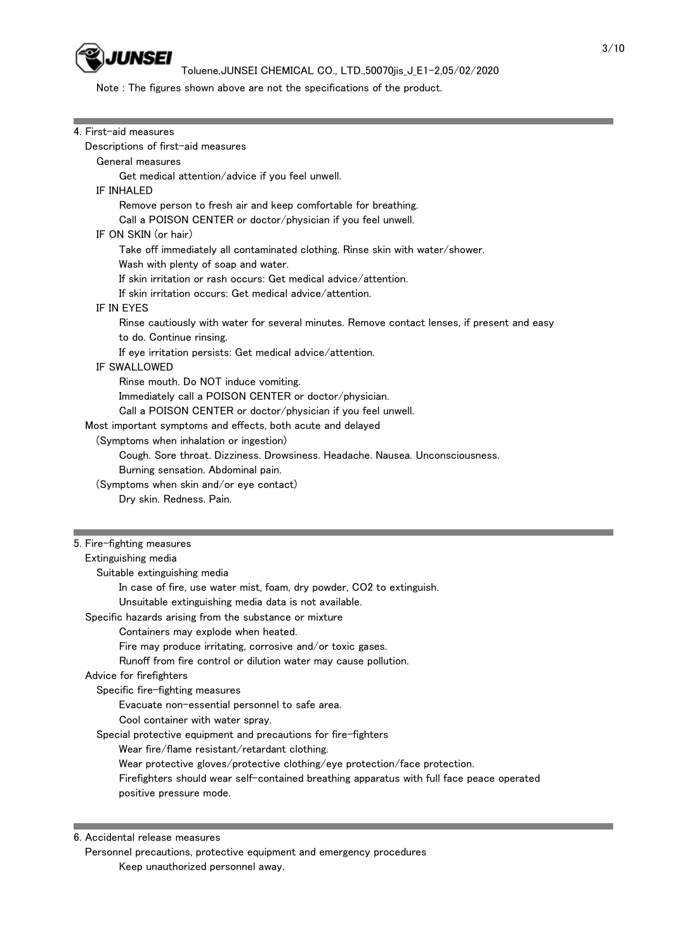

Note : The figures shown above are not the specifications of the product.

| 4. First-aid measures                                                                       |  |
|---------------------------------------------------------------------------------------------|--|
| Descriptions of first-aid measures                                                          |  |
| General measures                                                                            |  |
| Get medical attention/advice if you feel unwell.                                            |  |
| IF INHALED                                                                                  |  |
| Remove person to fresh air and keep comfortable for breathing.                              |  |
| Call a POISON CENTER or doctor/physician if you feel unwell.                                |  |
| IF ON SKIN (or hair)                                                                        |  |
|                                                                                             |  |
| Take off immediately all contaminated clothing. Rinse skin with water/shower.               |  |
| Wash with plenty of soap and water.                                                         |  |
| If skin irritation or rash occurs: Get medical advice/attention.                            |  |
| If skin irritation occurs: Get medical advice/attention.                                    |  |
| IF IN EYES                                                                                  |  |
| Rinse cautiously with water for several minutes. Remove contact lenses, if present and easy |  |
| to do. Continue rinsing.                                                                    |  |
| If eye irritation persists: Get medical advice/attention.                                   |  |
| IF SWALLOWED                                                                                |  |
| Rinse mouth. Do NOT induce vomiting.                                                        |  |
| Immediately call a POISON CENTER or doctor/physician.                                       |  |
| Call a POISON CENTER or doctor/physician if you feel unwell.                                |  |
| Most important symptoms and effects, both acute and delayed                                 |  |
| (Symptoms when inhalation or ingestion)                                                     |  |
| Cough. Sore throat. Dizziness. Drowsiness. Headache. Nausea. Unconsciousness.               |  |
| Burning sensation. Abdominal pain.                                                          |  |
| (Symptoms when skin and/or eye contact)                                                     |  |
|                                                                                             |  |
| Dry skin. Redness. Pain.                                                                    |  |
|                                                                                             |  |
| 5. Fire-fighting measures                                                                   |  |
|                                                                                             |  |
| Extinguishing media                                                                         |  |
| Suitable extinguishing media                                                                |  |
| In case of fire, use water mist, foam, dry powder, CO2 to extinguish.                       |  |
| Unsuitable extinguishing media data is not available.                                       |  |
| Specific hazards arising from the substance or mixture                                      |  |
| Containers may explode when heated.                                                         |  |
| Fire may produce irritating, corrosive and/or toxic gases.                                  |  |
| Runoff from fire control or dilution water may cause pollution.                             |  |
| Advice for firefighters                                                                     |  |
| Specific fire-fighting measures                                                             |  |
| Evacuate non-essential personnel to safe area.                                              |  |
| Cool container with water spray.                                                            |  |
| Special protective equipment and precautions for fire-fighters                              |  |
| Wear fire/flame resistant/retardant clothing.                                               |  |
|                                                                                             |  |
| Wear protective gloves/protective clothing/eye protection/face protection.                  |  |
| Firefighters should wear self-contained breathing apparatus with full face peace operated   |  |
| positive pressure mode.                                                                     |  |
|                                                                                             |  |

 Personnel precautions, protective equipment and emergency procedures Keep unauthorized personnel away.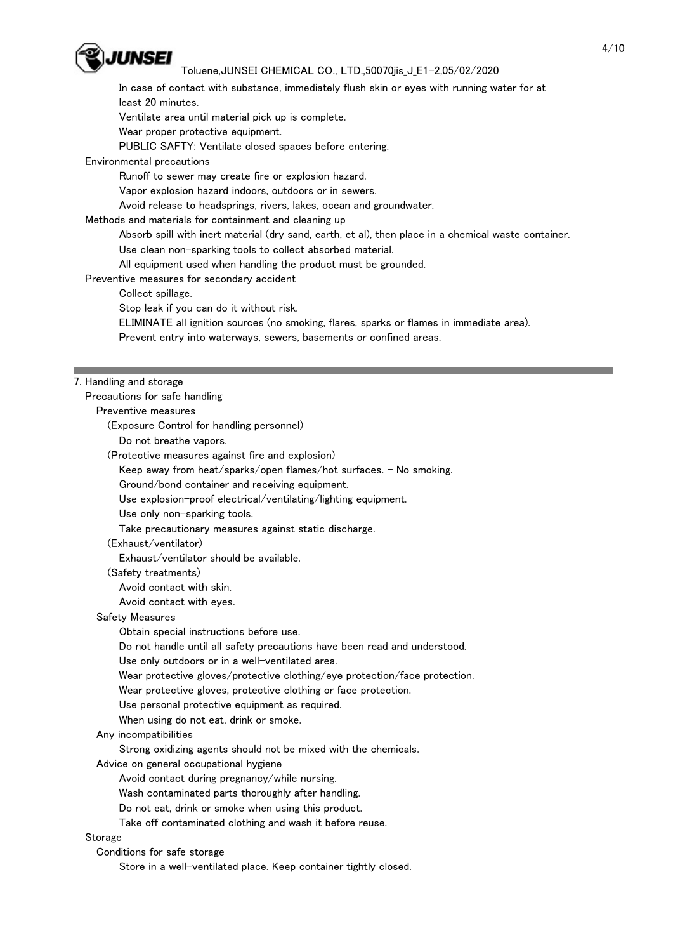

 In case of contact with substance, immediately flush skin or eyes with running water for at least 20 minutes.

Ventilate area until material pick up is complete.

Wear proper protective equipment.

PUBLIC SAFTY: Ventilate closed spaces before entering.

Environmental precautions

Runoff to sewer may create fire or explosion hazard.

Vapor explosion hazard indoors, outdoors or in sewers.

Avoid release to headsprings, rivers, lakes, ocean and groundwater.

Methods and materials for containment and cleaning up

Absorb spill with inert material (dry sand, earth, et al), then place in a chemical waste container.

Use clean non-sparking tools to collect absorbed material.

All equipment used when handling the product must be grounded.

Preventive measures for secondary accident

Collect spillage.

Stop leak if you can do it without risk.

ELIMINATE all ignition sources (no smoking, flares, sparks or flames in immediate area).

Prevent entry into waterways, sewers, basements or confined areas.

#### 7. Handling and storage

Precautions for safe handling

Preventive measures

(Exposure Control for handling personnel)

Do not breathe vapors.

(Protective measures against fire and explosion)

Keep away from heat/sparks/open flames/hot surfaces. - No smoking.

Ground/bond container and receiving equipment.

Use explosion-proof electrical/ventilating/lighting equipment.

Use only non-sparking tools.

Take precautionary measures against static discharge.

### (Exhaust/ventilator)

Exhaust/ventilator should be available.

(Safety treatments)

Avoid contact with skin.

Avoid contact with eyes.

## Safety Measures

Obtain special instructions before use.

Do not handle until all safety precautions have been read and understood.

Use only outdoors or in a well-ventilated area.

Wear protective gloves/protective clothing/eye protection/face protection.

Wear protective gloves, protective clothing or face protection.

Use personal protective equipment as required.

When using do not eat, drink or smoke.

Any incompatibilities

Strong oxidizing agents should not be mixed with the chemicals.

Advice on general occupational hygiene

Avoid contact during pregnancy/while nursing.

Wash contaminated parts thoroughly after handling.

Do not eat, drink or smoke when using this product.

Take off contaminated clothing and wash it before reuse.

## **Storage**

Conditions for safe storage

Store in a well-ventilated place. Keep container tightly closed.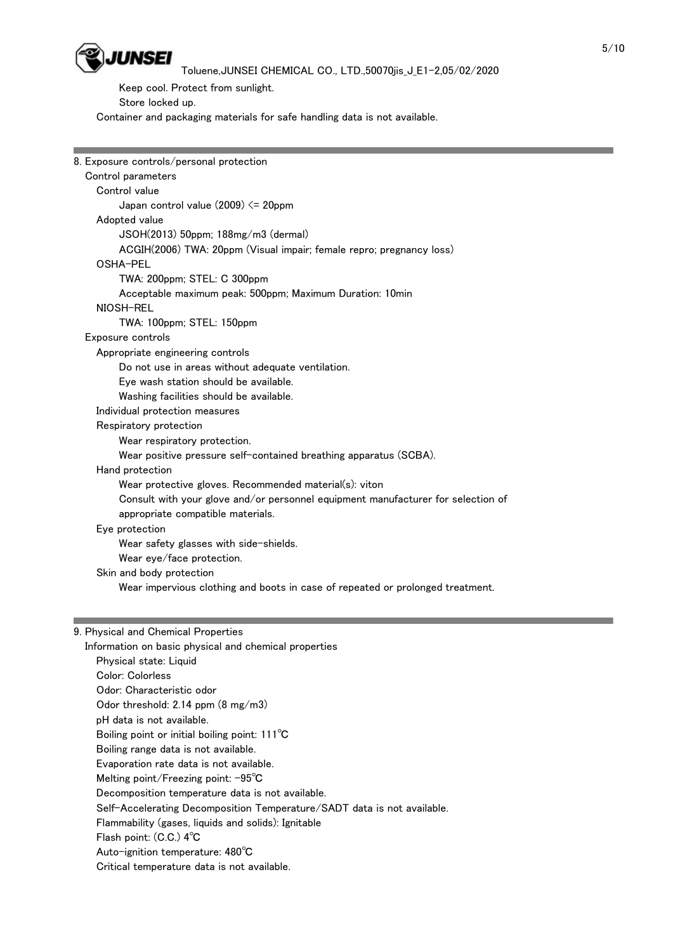

 Keep cool. Protect from sunlight. Store locked up. Container and packaging materials for safe handling data is not available.

| 8. Exposure controls/personal protection                                         |  |  |  |  |
|----------------------------------------------------------------------------------|--|--|--|--|
| Control parameters                                                               |  |  |  |  |
| Control value                                                                    |  |  |  |  |
| Japan control value (2009) <= 20ppm                                              |  |  |  |  |
| Adopted value                                                                    |  |  |  |  |
| JSOH(2013) 50ppm; 188mg/m3 (dermal)                                              |  |  |  |  |
| ACGIH(2006) TWA: 20ppm (Visual impair; female repro; pregnancy loss)             |  |  |  |  |
| OSHA-PEL                                                                         |  |  |  |  |
| TWA: 200ppm; STEL: C 300ppm                                                      |  |  |  |  |
| Acceptable maximum peak: 500ppm; Maximum Duration: 10min                         |  |  |  |  |
| NIOSH-REL                                                                        |  |  |  |  |
| TWA: 100ppm; STEL: 150ppm                                                        |  |  |  |  |
| Exposure controls                                                                |  |  |  |  |
| Appropriate engineering controls                                                 |  |  |  |  |
| Do not use in areas without adequate ventilation.                                |  |  |  |  |
| Eye wash station should be available.                                            |  |  |  |  |
| Washing facilities should be available.                                          |  |  |  |  |
| Individual protection measures                                                   |  |  |  |  |
| Respiratory protection                                                           |  |  |  |  |
| Wear respiratory protection.                                                     |  |  |  |  |
| Wear positive pressure self-contained breathing apparatus (SCBA).                |  |  |  |  |
| Hand protection                                                                  |  |  |  |  |
| Wear protective gloves. Recommended material(s): viton                           |  |  |  |  |
| Consult with your glove and/or personnel equipment manufacturer for selection of |  |  |  |  |
| appropriate compatible materials.                                                |  |  |  |  |
| Eye protection                                                                   |  |  |  |  |
| Wear safety glasses with side-shields.                                           |  |  |  |  |
| Wear eye/face protection.                                                        |  |  |  |  |
| Skin and body protection                                                         |  |  |  |  |
| Wear impervious clothing and boots in case of repeated or prolonged treatment.   |  |  |  |  |
|                                                                                  |  |  |  |  |
| 9 Physical and Chemical Properties                                               |  |  |  |  |
|                                                                                  |  |  |  |  |

## 9. Physical and Chemical Properties

 Information on basic physical and chemical properties Physical state: Liquid Color: Colorless Odor: Characteristic odor Odor threshold: 2.14 ppm (8 mg/m3) pH data is not available. Boiling point or initial boiling point: 111℃ Boiling range data is not available. Evaporation rate data is not available. Melting point/Freezing point: -95℃ Decomposition temperature data is not available. Self-Accelerating Decomposition Temperature/SADT data is not available. Flammability (gases, liquids and solids): Ignitable Flash point: (C.C.) 4℃ Auto-ignition temperature: 480℃ Critical temperature data is not available.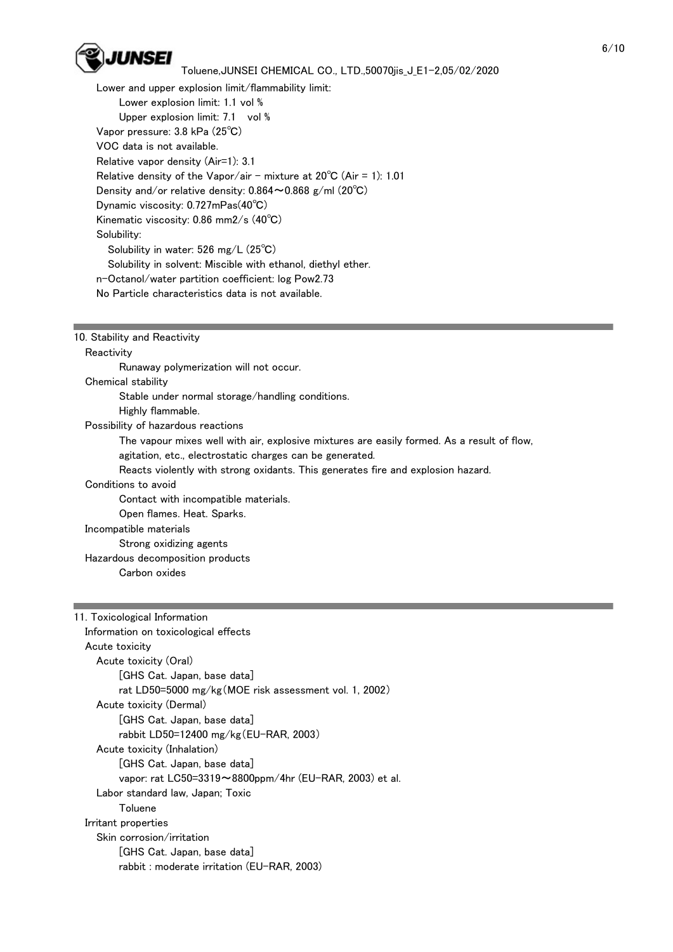

 Lower and upper explosion limit/flammability limit: Lower explosion limit: 1.1 vol % Upper explosion limit: 7.1 vol % Vapor pressure: 3.8 kPa (25℃) VOC data is not available. Relative vapor density (Air=1): 3.1 Relative density of the Vapor/air - mixture at  $20^{\circ}$ C (Air = 1): 1.01 Density and/or relative density: 0.864~0.868 g/ml (20℃) Dynamic viscosity: 0.727mPas(40℃) Kinematic viscosity: 0.86 mm2/s (40℃) Solubility: Solubility in water: 526 mg/L (25℃) Solubility in solvent: Miscible with ethanol, diethyl ether. n-Octanol/water partition coefficient: log Pow2.73 No Particle characteristics data is not available.

# 10. Stability and Reactivity

**Reactivity**  Runaway polymerization will not occur. Chemical stability Stable under normal storage/handling conditions. Highly flammable. Possibility of hazardous reactions The vapour mixes well with air, explosive mixtures are easily formed. As a result of flow, agitation, etc., electrostatic charges can be generated. Reacts violently with strong oxidants. This generates fire and explosion hazard. Conditions to avoid Contact with incompatible materials. Open flames. Heat. Sparks. Incompatible materials Strong oxidizing agents Hazardous decomposition products Carbon oxides

# 11. Toxicological Information Information on toxicological effects Acute toxicity Acute toxicity (Oral) [GHS Cat. Japan, base data] rat LD50=5000 mg/kg(MOE risk assessment vol. 1, 2002) Acute toxicity (Dermal) [GHS Cat. Japan, base data] rabbit LD50=12400 mg/kg(EU-RAR, 2003) Acute toxicity (Inhalation) [GHS Cat. Japan, base data] vapor: rat LC50=3319~8800ppm/4hr (EU-RAR, 2003) et al. Labor standard law, Japan; Toxic Toluene Irritant properties Skin corrosion/irritation [GHS Cat. Japan, base data] rabbit : moderate irritation (EU-RAR, 2003)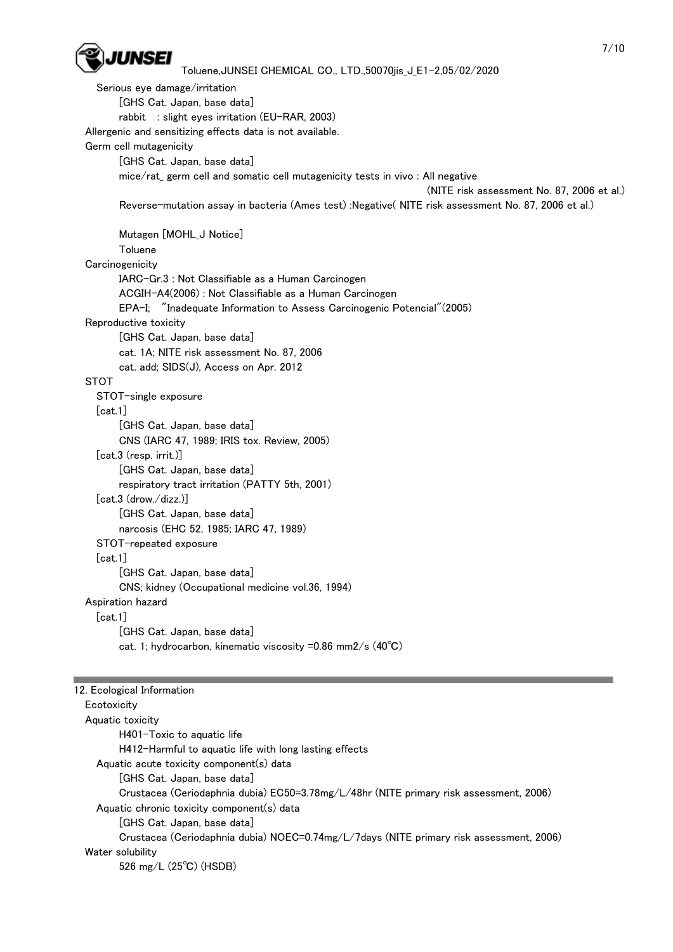

 Serious eye damage/irritation [GHS Cat. Japan, base data] rabbit : slight eyes irritation (EU-RAR, 2003) Allergenic and sensitizing effects data is not available. Germ cell mutagenicity [GHS Cat. Japan, base data] mice/rat\_ germ cell and somatic cell mutagenicity tests in vivo : All negative (NITE risk assessment No. 87, 2006 et al.) Reverse-mutation assay in bacteria (Ames test) :Negative( NITE risk assessment No. 87, 2006 et al.) Mutagen [MOHL\_J Notice] Toluene **Carcinogenicity**  IARC-Gr.3 : Not Classifiable as a Human Carcinogen ACGIH-A4(2006) : Not Classifiable as a Human Carcinogen EPA-I; "Inadequate Information to Assess Carcinogenic Potencial"(2005) Reproductive toxicity [GHS Cat. Japan, base data] cat. 1A; NITE risk assessment No. 87, 2006 cat. add; SIDS(J), Access on Apr. 2012 **STOT**  STOT-single exposure  $[cat.1]$  [GHS Cat. Japan, base data] CNS (IARC 47, 1989; IRIS tox. Review, 2005) [cat.3 (resp. irrit.)] [GHS Cat. Japan, base data] respiratory tract irritation (PATTY 5th, 2001) [cat.3 (drow./dizz.)] [GHS Cat. Japan, base data] narcosis (EHC 52, 1985; IARC 47, 1989) STOT-repeated exposure [cat.1] [GHS Cat. Japan, base data] CNS; kidney (Occupational medicine vol.36, 1994) Aspiration hazard [cat.1] [GHS Cat. Japan, base data] cat. 1; hydrocarbon, kinematic viscosity =0.86 mm2/s (40℃) 12. Ecological Information **Ecotoxicity**  Aquatic toxicity H401-Toxic to aquatic life H412-Harmful to aquatic life with long lasting effects

Aquatic acute toxicity component(s) data

[GHS Cat. Japan, base data]

Crustacea (Ceriodaphnia dubia) EC50=3.78mg/L/48hr (NITE primary risk assessment, 2006)

Aquatic chronic toxicity component(s) data

[GHS Cat. Japan, base data]

 Crustacea (Ceriodaphnia dubia) NOEC=0.74mg/L/7days (NITE primary risk assessment, 2006) Water solubility

526 mg/L (25℃) (HSDB)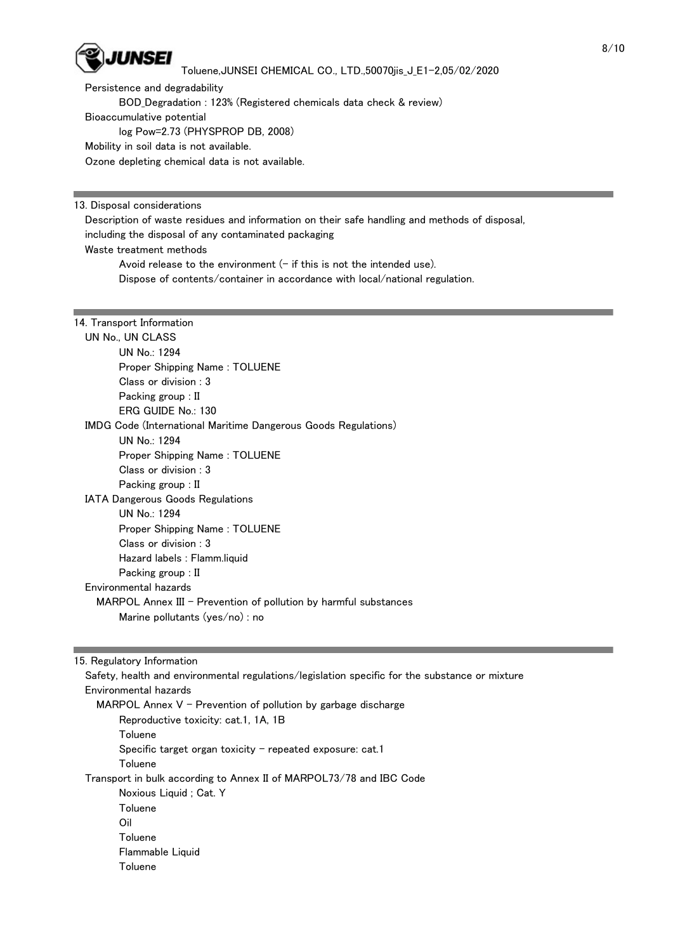

 Persistence and degradability BOD\_Degradation : 123% (Registered chemicals data check & review) Bioaccumulative potential log Pow=2.73 (PHYSPROP DB, 2008) Mobility in soil data is not available. Ozone depleting chemical data is not available.

13. Disposal considerations

 Description of waste residues and information on their safe handling and methods of disposal, including the disposal of any contaminated packaging Waste treatment methods Avoid release to the environment  $(-$  if this is not the intended use). Dispose of contents/container in accordance with local/national regulation.

|  | 14. Transport Information |
|--|---------------------------|
|  |                           |

| UN No., UN CLASS      |                                                                       |
|-----------------------|-----------------------------------------------------------------------|
| UN No.: 1294          |                                                                       |
|                       | Proper Shipping Name: TOLUENE                                         |
|                       | Class or division : 3                                                 |
|                       | Packing group : II                                                    |
|                       | ERG GUIDE No.: 130                                                    |
|                       | <b>IMDG Code (International Maritime Dangerous Goods Regulations)</b> |
| UN No.: 1294          |                                                                       |
|                       | Proper Shipping Name: TOLUENE                                         |
|                       | Class or division : $3$                                               |
|                       | Packing group : II                                                    |
|                       | <b>IATA Dangerous Goods Regulations</b>                               |
| UN No.: 1294          |                                                                       |
|                       | Proper Shipping Name: TOLUENE                                         |
|                       | Class or division : 3                                                 |
|                       | Hazard labels : Flamm.liquid                                          |
|                       | Packing group : II                                                    |
| Environmental hazards |                                                                       |
|                       | $MARPOL$ Annex III – Prevention of pollution by harmful substances    |
|                       | Marine pollutants (yes/no) : no                                       |

15. Regulatory Information

 Safety, health and environmental regulations/legislation specific for the substance or mixture Environmental hazards MARPOL Annex  $V$  - Prevention of pollution by garbage discharge Reproductive toxicity: cat.1, 1A, 1B Toluene Specific target organ toxicity  $-$  repeated exposure: cat.1 **Toluene**  Transport in bulk according to Annex II of MARPOL73/78 and IBC Code Noxious Liquid ; Cat. Y **Toluene**  Oil Toluene Flammable Liquid Toluene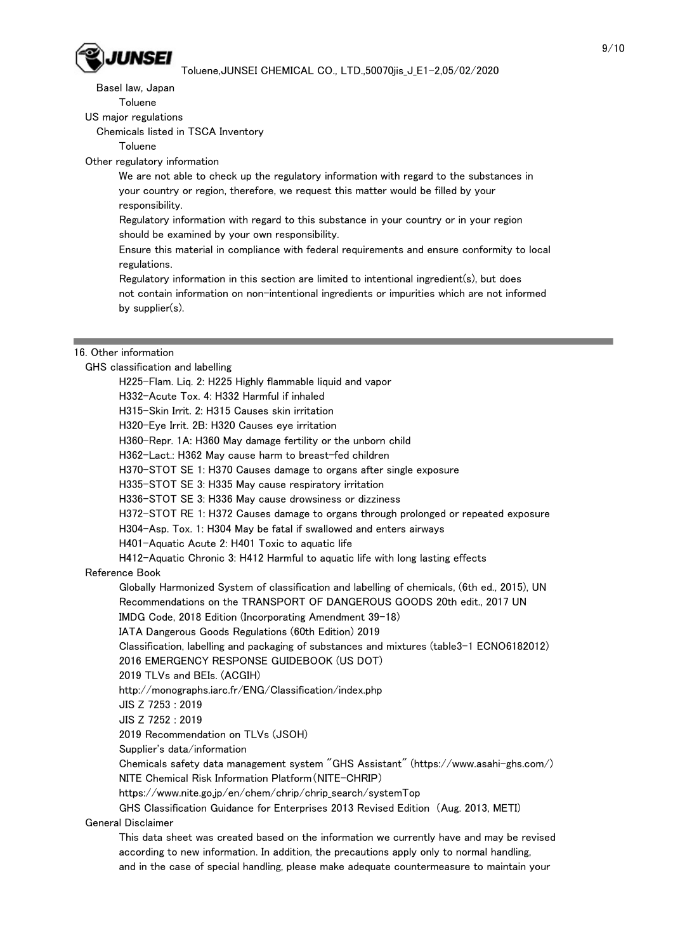

Basel law, Japan

Toluene

US major regulations

Chemicals listed in TSCA Inventory

Toluene

Other regulatory information

 We are not able to check up the regulatory information with regard to the substances in your country or region, therefore, we request this matter would be filled by your responsibility.

 Regulatory information with regard to this substance in your country or in your region should be examined by your own responsibility.

 Ensure this material in compliance with federal requirements and ensure conformity to local regulations.

 Regulatory information in this section are limited to intentional ingredient(s), but does not contain information on non-intentional ingredients or impurities which are not informed by supplier(s).

#### 16. Other information

GHS classification and labelling

 H225-Flam. Liq. 2: H225 Highly flammable liquid and vapor H332-Acute Tox. 4: H332 Harmful if inhaled H315-Skin Irrit. 2: H315 Causes skin irritation H320-Eye Irrit. 2B: H320 Causes eye irritation H360-Repr. 1A: H360 May damage fertility or the unborn child H362-Lact.: H362 May cause harm to breast-fed children H370-STOT SE 1: H370 Causes damage to organs after single exposure H335-STOT SE 3: H335 May cause respiratory irritation H336-STOT SE 3: H336 May cause drowsiness or dizziness H372-STOT RE 1: H372 Causes damage to organs through prolonged or repeated exposure H304-Asp. Tox. 1: H304 May be fatal if swallowed and enters airways H401-Aquatic Acute 2: H401 Toxic to aquatic life H412-Aquatic Chronic 3: H412 Harmful to aquatic life with long lasting effects Reference Book Globally Harmonized System of classification and labelling of chemicals, (6th ed., 2015), UN Recommendations on the TRANSPORT OF DANGEROUS GOODS 20th edit., 2017 UN IMDG Code, 2018 Edition (Incorporating Amendment 39-18) IATA Dangerous Goods Regulations (60th Edition) 2019 Classification, labelling and packaging of substances and mixtures (table3-1 ECNO6182012) 2016 EMERGENCY RESPONSE GUIDEBOOK (US DOT) 2019 TLVs and BEIs. (ACGIH) http://monographs.iarc.fr/ENG/Classification/index.php JIS Z 7253 : 2019 JIS Z 7252 : 2019 2019 Recommendation on TLVs (JSOH) Supplier's data/information Chemicals safety data management system "GHS Assistant" (https://www.asahi-ghs.com/)

NITE Chemical Risk Information Platform(NITE-CHRIP)

https://www.nite.go.jp/en/chem/chrip/chrip\_search/systemTop

GHS Classification Guidance for Enterprises 2013 Revised Edition (Aug. 2013, METI)

General Disclaimer

 This data sheet was created based on the information we currently have and may be revised according to new information. In addition, the precautions apply only to normal handling, and in the case of special handling, please make adequate countermeasure to maintain your